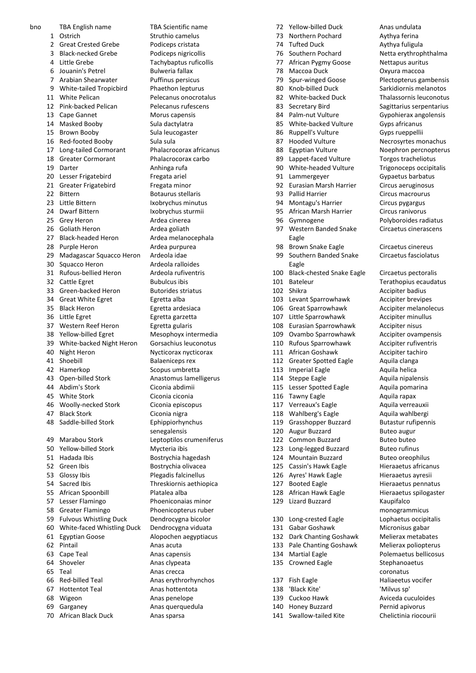bno TBA English name TBA Scientific name 1 Ostrich Struthio camelus 2 Great Crested Grebe Podiceps cristata 3 Black-necked Grebe Podiceps nigricollis 4 Little Grebe Tachybaptus ruficollis 6 Jouanin's Petrel Bulweria fallax 7 Arabian Shearwater Puffinus persicus 9 White-tailed Tropicbird Phaethon lepturus 11 White Pelican Pelecanus onocrotalus 12 Pink-backed Pelican Pelecanus rufescens 13 Cape Gannet Morus capensis 14 Masked Booby Sula dactylatra 15 Brown Booby Sula leucogaster 16 Red-footed Booby Sula sula 17 Long-tailed Cormorant Phalacrocorax africanus 18 Greater Cormorant Phalacrocorax carbo 19 Darter **Anhinga** rufa 20 Lesser Frigatebird Fregata ariel 21 Greater Frigatebird Fregata minor 22 Bittern Botaurus stellaris 23 Little Bittern Ixobrychus minutus 24 Dwarf Bittern Ixobrychus sturmii 25 Grey Heron **Ardea** cinerea 26 Goliath Heron **Ardea** goliath 27 Black-headed Heron Ardea melanocephala 28 Purple Heron Ardea purpurea 29 Madagascar Squacco Heron Ardeola idae 30 Squacco Heron Ardeola ralloides 31 Rufous-bellied Heron Ardeola rufiventris 32 Cattle Egret Bubulcus ibis 33 Green-backed Heron Butorides striatus 34 Great White Egret **Egretta** alba 35 Black Heron Egretta ardesiaca 36 Little Egret Egretta garzetta 37 Western Reef Heron Egretta gularis 38 Yellow-billed Egret Mesophoyx intermedia 39 White-backed Night Heron Gorsachius leuconotus 40 Night Heron Nycticorax nycticorax 41 Shoebill Balaeniceps rex 42 Hamerkop Scopus umbretta 43 Open-billed Stork Anastomus lamelligerus 44 Abdim's Stork Ciconia abdimii<br>15 White Stork Ciconia ciconia 46 Woolly-necked Stork Ciconia episcopus 47 Black Stork Ciconia nigra 48 Saddle-billed Stork Ephippiorhynchus 49 Marabou Stork Leptoptilos crumeniferus 50 Yellow-billed Stork Mycteria ibis 51 Hadada Ibis Bostrychia hagedash 52 Green Ibis Bostrychia olivacea 53 Glossy Ibis Plegadis falcinellus 54 Sacred Ibis Threskiornis aethiopica 55 African Spoonbill Platalea alba 57 Lesser Flamingo Phoeniconaias minor 58 Greater Flamingo Phoenicopterus ruber 59 Fulvous Whistling Duck Dendrocygna bicolor 60 White-faced Whistling Duck Dendrocygna viduata 61 Egyptian Goose Alopochen aegyptiacus 62 Pintail Anas acuta 63 Cape Teal **Anas capensis** 64 Shoveler **Anas clypeata** 65 Teal **Anas** crecca 66 Red-billed Teal Anas erythrorhynchos 67 Hottentot Teal Anas hottentota 68 Wigeon **Anas penelope** 69 Garganey Anas querquedula 70 African Black Duck Anas sparsa

Ciconia ciconia senegalensis

72 Yellow-billed Duck Anas undulata 73 Northern Pochard Aythya ferina 74 Tufted Duck Aythya fuligula 76 Southern Pochard Netta erythrophthalma 77 African Pygmy Goose Nettapus auritus 78 Maccoa Duck Oxyura maccoa 79 Spur-winged Goose Plectopterus gambensis 80 Knob-billed Duck Sarkidiornis melanotos 82 White-backed Duck Thalassornis leuconotus 83 Secretary Bird Sagittarius serpentarius 84 Palm-nut Vulture Gypohierax angolensis 85 White-backed Vulture Gyps africanus 86 Ruppell's Vulture Gyps rueppellii 87 Hooded Vulture Necrosyrtes monachus 88 Egyptian Vulture Noephron percnopterus 89 Lappet-faced Vulture Torgos tracheliotus 90 White-headed Vulture Trigonoceps occipitalis 91 Lammergeyer Gypaetus barbatus 92 Eurasian Marsh Harrier Circus aeruginosus 93 Pallid Harrier Circus macrourus 94 Montagu's Harrier Circus pygargus 95 African Marsh Harrier Circus ranivorus 96 Gymnogene Polyboroides radiatus 97 Western Banded Snake Eagle 98 Brown Snake Eagle **Circaetus cinereus** 99 Southern Banded Snake Eagle 100 Black-chested Snake Eagle Circaetus pectoralis 101 Bateleur Terathopius ecaudatus 102 Shikra **Accipiter badius** 103 Levant Sparrowhawk Accipiter brevipes 106 Great Sparrowhawk Accipiter melanolecus 107 Little Sparrowhawk Accipiter minullus 108 Eurasian Sparrowhawk Accipiter nisus 109 Ovambo Sparrowhawk Accipiter ovampensis 110 Rufous Sparrowhawk Accipiter rufiventris 111 African Goshawk Accipiter tachiro 112 Greater Spotted Eagle Aquila clanga 113 Imperial Eagle **Aquila helica** 114 Steppe Eagle **Aquila nipalensis** 115 Lesser Spotted Eagle Aquila pomarina 116 Tawny Eagle **Aquila rapax** 117 Verreaux's Eagle Aquila verreauxii 118 Wahlberg's Eagle Aquila wahlbergi 119 Grasshopper Buzzard Butastur rufipennis 120 Augur Buzzard Buteo augur 122 Common Buzzard Buteo buteo 123 Long-legged Buzzard Buteo rufinus 124 Mountain Buzzard Buteo oreophilus 125 Cassin's Hawk Eagle Hieraaetus africanus 126 Ayres' Hawk Eagle Hieraaetus ayresii 127 Booted Eagle Hieraaetus pennatus 128 African Hawk Eagle Hieraaetus spilogaster 129 Lizard Buzzard Kaupifalco monogrammicus 130 Long-crested Eagle Lophaetus occipitalis<br>131 Gabar Goshawk Micronisus gabar 131 Gabar Goshawk 132 Dark Chanting Goshawk Melierax metabates 133 Pale Chanting Goshawk Melierax poliopterus 134 Martial Eagle Polemaetus bellicosus 135 Crowned Eagle Stephanoaetus coronatus 137 Fish Eagle Haliaeetus vocifer 138 'Black Kite' 'Milvus sp' 139 Cuckoo Hawk Aviceda cuculoides 140 Honey Buzzard **Pernid apivorus**<br>141 Swallow-tailed Kite **Chelictinia riocourii** 141 Swallow-tailed Kite

Circaetus cinerascens Circaetus fasciolatus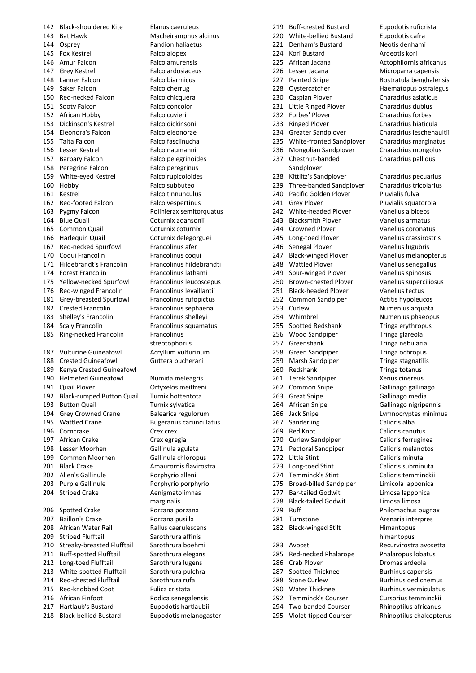142 Black-shouldered Kite Elanus caeruleus 143 Bat Hawk Macheiramphus alcinus 144 Osprey Pandion haliaetus 145 Fox Kestrel Falco alopex 146 Amur Falcon Falco amurensis 147 Grey Kestrel Falco ardosiaceus 148 Lanner Falcon Falco biarmicus 149 Saker Falcon Falco cherrug 150 Red-necked Falcon Falco chicquera 151 Sooty Falcon Falco concolor 152 African Hobby Falco cuvieri 153 Dickinson's Kestrel Falco dickinsoni 154 Eleonora's Falcon Falco eleonorae 155 Taita Falcon Falco fasciinucha 156 Lesser Kestrel **Falco naumanni** 157 Barbary Falcon Falco pelegrinoides 158 Peregrine Falcon Falco peregrinus 159 White-eyed Kestrel Falco rupicoloides 160 Hobby Falco subbuteo 161 Kestrel Falco tinnunculus 162 Red-footed Falcon Falco vespertinus 163 Pygmy Falcon Polihierax semitorquatus 164 Blue Quail Coturnix adansonii 165 Common Quail Coturnix coturnix 166 Harlequin Quail Coturnix delegorguei 167 Red-necked Spurfowl Francolinus afer 170 Coqui Francolin Francolinus coqui 171 Hildebrandt's Francolin Francolinus hildebrandti 174 Forest Francolin Francolinus lathami 175 Yellow-necked Spurfowl Francolinus leucoscepus 176 Red-winged Francolin Francolinus levaillantii 181 Grey-breasted Spurfowl Francolinus rufopictus 182 Crested Francolin Francolinus sephaena 183 Shelley's Francolin Francolinus shelleyi 184 Scaly Francolin Francolinus squamatus 185 Ring-necked Francolin Francolinus 187 Vulturine Guineafowl Acryllum vulturinum 188 Crested Guineafowl Guttera pucherani 189 Kenya Crested Guineafowl 190 Helmeted Guineafowl Numida meleagris 191 Quail Plover **Ortyxelos meiffreni** 192 Black-rumped Button Quail Turnix hottentota 193 Button Quail Turnix sylvatica 194 Grey Crowned Crane Balearica regulorum 195 Wattled Crane Bugeranus carunculatus 196 Corncrake Crex crex 197 African Crake Crex egregia 198 Lesser Moorhen Gallinula agulata 199 Common Moorhen Gallinula chloropus 201 Black Crake Amaurornis flavirostra 202 Allen's Gallinule Porphyrio alleni 203 Purple Gallinule Porphyrio porphyrio 204 Striped Crake Aenigmatolimnas 206 Spotted Crake Porzana porzana 207 Baillon's Crake Porzana pusilla 208 African Water Rail Rallus caerulescens 209 Striped Flufftail Sarothrura affinis 210 Streaky-breasted Flufftail Sarothrura boehmi 211 Buff-spotted Flufftail Sarothrura elegans 212 Long-toed Flufftail Sarothrura lugens 213 White-spotted Flufftail Sarothrura pulchra 214 Red-chested Flufftail Sarothrura rufa 215 Red-knobbed Coot Fulica cristata 216 African Finfoot Podica senegalensis 217 Hartlaub's Bustard Eupodotis hartlaubii<br>218 Black-bellied Bustard Eupodotis melanoga

streptophorus marginalis

Eupodotis melanogaster

219 Buff-crested Bustard Eupodotis ruficrista 220 White-bellied Bustard Eupodotis cafra 221 Denham's Bustard Neotis denhami 224 Kori Bustard Ardeotis kori 225 African Jacana **Actophilornis africanus** 226 Lesser Jacana Microparra capensis 227 Painted Snipe **Rostratula benghalensis** 228 Oystercatcher Haematopus ostralegus 230 Caspian Plover Charadrius asiaticus 231 Little Ringed Plover Charadrius dubius 232 Forbes' Plover Charadrius forbesi 233 Ringed Plover Charadrius hiaticula 234 Greater Sandplover Charadrius leschenaultii 235 White-fronted Sandplover Charadrius marginatus 236 Mongolian Sandplover Charadrius mongolus 237 Chestnut-banded Sandplover 238 Kittlitz's Sandplover Charadrius pecuarius 239 Three-banded Sandplover Charadrius tricolarius 240 Pacific Golden Plover Pluvialis fulva 241 Grey Plover Pluvialis squatorola<br>242 White-headed Plover Planellus albiceps 242 White-headed Plover 243 Blacksmith Plover Vanellus armatus 244 Crowned Plover Vanellus coronatus 245 Long-toed Plover Vanellus crassirostris 246 Senegal Plover Vanellus lugubris 247 Black-winged Plover Vanellus melanopterus 248 Wattled Plover Vanellus senegallus 249 Spur-winged Plover Vanellus spinosus 250 Brown-chested Plover Vanellus superciliosus 251 Black-headed Plover Vanellus tectus 252 Common Sandpiper Actitis hypoleucos 253 Curlew Numenius arquata 254 Whimbrel Numenius phaeopus 255 Spotted Redshank Tringa erythropus 256 Wood Sandpiper Tringa glareola 257 Greenshank Tringa nebularia 258 Green Sandpiper Tringa ochropus 259 Marsh Sandpiper Tringa stagnatilis 260 Redshank Tringa totanus 261 Terek Sandpiper Xenus cinereus 262 Common Snipe Gallinago gallinago 263 Great Snipe Gallinago media 264 African Snipe Gallinago nigripennis 266 Jack Snipe Lymnocryptes minimus 267 Sanderling Calidris alba 269 Red Knot Calidris canutus 270 Curlew Sandpiper Calidris ferruginea 271 Pectoral Sandpiper Calidris melanotos 272 Little Stint Calidris minuta 273 Long-toed Stint Calidris subminuta 274 Temminck's Stint Calidris temminckii 275 Broad-billed Sandpiper Limicola lapponica 277 Bar-tailed Godwit Limosa lapponica 278 Black-tailed Godwit Limosa limosa 279 Ruff Philomachus pugnax 281 Turnstone **Arenaria** interpres 282 Black-winged Stilt Himantopus 283 Avocet Recurvirostra avosetta 285 Red-necked Phalarope Phalaropus lobatus 286 Crab Plover **Dromas** ardeola 287 Spotted Thicknee Burhinus capensis 288 Stone Curlew Burhinus oedicnemus 290 Water Thicknee Burhinus vermiculatus 292 Temminck's Courser Cursorius temminckii 294 Two-banded Courser Rhinoptilus africanus

Charadrius pallidus

himantopus 295 Violet-tipped Courser Rhinoptilus chalcopterus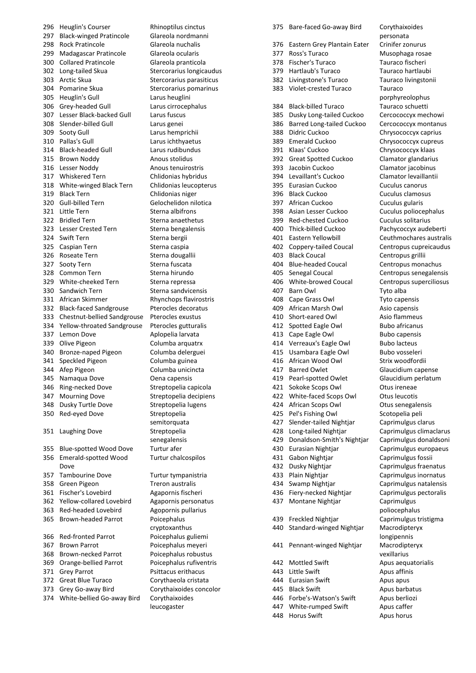Heuglin's Courser Rhinoptilus cinctus Black-winged Pratincole Glareola nordmanni 298 Rock Pratincole Glareola nuchalis 299 Madagascar Pratincole Glareola ocularis Collared Pratincole Glareola pranticola 302 Long-tailed Skua<br>
Stercorarius longicaudus 303 Arctic Skua Stercorarius parasiticus 304 Pomarine Skua<br>
Stercorarius pomarinus Heuglin's Gull Larus heuglini Grey-headed Gull Larus cirrocephalus Lesser Black-backed Gull Larus fuscus Slender-billed Gull Larus genei Sooty Gull Larus hemprichii Pallas's Gull Larus ichthyaetus Black-headed Gull Larus rudibundus 315 Brown Noddy Anous stolidus 316 Lesser Noddy **Anous tenuirostris**  Whiskered Tern Chlidonias hybridus White-winged Black Tern Chlidonias leucopterus Black Tern Chlidonias niger Gull-billed Tern Gelochelidon nilotica 321 Little Tern Sterna albifrons 322 Bridled Tern Sterna anaethetus 323 Lesser Crested Tern Sterna bengalensis 324 Swift Tern Sterna bergii 325 Caspian Tern Sterna caspia 326 Roseate Tern Sterna dougallii 327 Sooty Tern Sterna fuscata 328 Common Tern Sterna hirundo 329 White-cheeked Tern Sterna repressa 330 Sandwich Tern Sterna sandvicensis African Skimmer Rhynchops flavirostris Black-faced Sandgrouse Pterocles decoratus Chestnut-bellied Sandgrouse Pterocles exustus Yellow-throated Sandgrouse Pterocles gutturalis 337 Lemon Dove Aplopelia larvata Olive Pigeon Columba arquatrx Bronze-naped Pigeon Columba delerguei Speckled Pigeon Columba guinea Afep Pigeon Columba unicincta 345 Namaqua Dove **Oena capensis**  Ring-necked Dove Streptopelia capicola Mourning Dove Streptopelia decipiens Dusky Turtle Dove Streptopelia lugens Red-eyed Dove Streptopelia 351 Laughing Dove Streptopelia Blue-spotted Wood Dove Turtur afer Emerald-spotted Wood Dove Tambourine Dove Turtur tympanistria Green Pigeon Treron australis Fischer's Lovebird Agapornis fischeri Yellow-collared Lovebird Agapornis personatus Red-headed Lovebird Agopornis pullarius 365 Brown-headed Parrot Poicephalus 366 Red-fronted Parrot Poicephalus guliemi 367 Brown Parrot Poicephalus meyeri Brown-necked Parrot Poicephalus robustus Orange-bellied Parrot Poicephalus rufiventris 371 Grey Parrot Psittacus erithacus Great Blue Turaco Corythaeola cristata Grey Go-away Bird Corythaixoides concolor White-bellied Go-away Bird Corythaixoides

semitorquata senegalensis Turtur chalcospilos cryptoxanthus leucogaster

 Bare-faced Go-away Bird Corythaixoides Eastern Grey Plantain Eater Crinifer zonurus Ross's Turaco Musophaga rosae Fischer's Turaco Tauraco fischeri Hartlaub's Turaco Tauraco hartlaubi Livingstone's Turaco Tauraco livingstonii Violet-crested Turaco Tauraco Black-billed Turaco Tauraco schuetti Dusky Long-tailed Cuckoo Cercococcyx mechowi Barred Long-tailed Cuckoo Cercococcyx montanus Didric Cuckoo Chrysococcyx caprius Emerald Cuckoo Chrysococcyx cupreus Klaas' Cuckoo Chrysococcyx klaas Great Spotted Cuckoo Clamator glandarius Jacobin Cuckoo Clamator jacobinus Levaillant's Cuckoo Clamator levaillantii Eurasian Cuckoo Cuculus canorus Black Cuckoo Cuculus clamosus African Cuckoo Cuculus gularis Asian Lesser Cuckoo Cuculus poliocephalus Red-chested Cuckoo Cuculus solitarius Thick-billed Cuckoo Pachycoccyx audeberti Eastern Yellowbill Ceuthmochares australis Coppery-tailed Coucal Centropus cupreicaudus Black Coucal Centropus grillii Blue-headed Coucal Centropus monachus Senegal Coucal Centropus senegalensis White-browed Coucal Centropus superciliosus Barn Owl Tyto alba Cape Grass Owl Tyto capensis African Marsh Owl Asio capensis Short-eared Owl Asio flammeus 412 Spotted Eagle Owl Bubo africanus 413 Cape Eagle Owl Bubo capensis 414 Verreaux's Eagle Owl Bubo lacteus 415 Usambara Eagle Owl Bubo vosseleri African Wood Owl Strix woodfordii 417 Barred Owlet Glaucidium capense Pearl-spotted Owlet Glaucidium perlatum Sokoke Scops Owl Otus ireneae White-faced Scops Owl Otus leucotis African Scops Owl Otus senegalensis Pel's Fishing Owl Scotopelia peli Slender-tailed Nightjar Caprimulgus clarus Long-tailed Nightjar Caprimulgus climaclarus Donaldson-Smith's Nightjar Caprimulgus donaldsoni Eurasian Nightjar Caprimulgus europaeus Gabon Nightjar Caprimulgus fossii Dusky Nightjar Caprimulgus fraenatus Plain Nightjar Caprimulgus inornatus Swamp Nightjar Caprimulgus natalensis Fiery-necked Nightjar Caprimulgus pectoralis Montane Nightjar Caprimulgus Freckled Nightjar Caprimulgus tristigma Standard-winged Nightjar Macrodipteryx Pennant-winged Nightjar Macrodipteryx 442 Mottled Swift Apus aequatorialis 443 Little Swift **Apus affinis** 444 Eurasian Swift **Apus apus** 445 Black Swift Apus barbatus 446 Forbe's-Watson's Swift Apus berliozi 447 White-rumped Swift Apus caffer 448 Horus Swift Apus horus

personata porphyreolophus poliocephalus longipennis vexillarius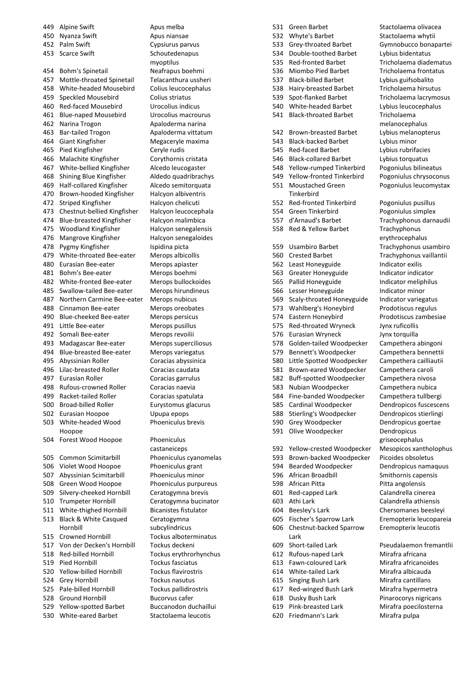449 Alpine Swift Apus melba 450 Nyanza Swift Apus niansae Palm Swift Cypsiurus parvus 453 Scarce Swift Schoutedenapus Bohm's Spinetail Neafrapus boehmi Mottle-throated Spinetail Telacanthura ussheri White-headed Mousebird Colius leucocephalus Speckled Mousebird Colius striatus Red-faced Mousebird Urocolius indicus Blue-naped Mousebird Urocolius macrourus 462 Narina Trogon Apaloderma narina Bar-tailed Trogon Apaloderma vittatum Giant Kingfisher Megaceryle maxima Pied Kingfisher Ceryle rudis 466 Malachite Kingfisher Corythornis cristata 467 White-bellied Kingfisher Alcedo leucogaster Shining Blue Kingfisher Aldedo quadribrachys Half-collared Kingfisher Alcedo semitorquata 470 Brown-hooded Kingfisher Halcyon albiventris 472 Striped Kingfisher Halcyon chelicuti Chestnut-bellied Kingfisher Halcyon leucocephala 474 Blue-breasted Kingfisher Halcyon malimbica Woodland Kingfisher Halcyon senegalensis 476 Mangrove Kingfisher Halcyon senegaloides 478 Pygmy Kingfisher Ispidina picta White-throated Bee-eater Merops albicollis Eurasian Bee-eater Merops apiaster Bohm's Bee-eater Merops boehmi White-fronted Bee-eater Merops bullockoides Swallow-tailed Bee-eater Merops hirundineus Northern Carmine Bee-eater Merops nubicus Cinnamon Bee-eater Merops oreobates Blue-cheeked Bee-eater Merops persicus 491 Little Bee-eater Merops pusillus Somali Bee-eater Merops revoilii Madagascar Bee-eater Merops superciliosus Blue-breasted Bee-eater Merops variegatus 495 Abyssinian Roller Coracias abyssinica 496 Lilac-breasted Roller Coracias caudata 497 Eurasian Roller Coracias garrulus 498 Rufous-crowned Roller Coracias naevia 499 Racket-tailed Roller Coracias spatulata Broad-billed Roller Eurystomus glacurus Eurasian Hoopoe Upupa epops White-headed Wood Hoopoe 504 Forest Wood Hoopoe Phoeniculus Common Scimitarbill Phoeniculus cyanomelas 506 Violet Wood Hoopoe Phoeniculus grant Abyssinian Scimitarbill Phoeniculus minor Green Wood Hoopoe Phoeniculus purpureus Silvery-cheeked Hornbill Ceratogymna brevis Trumpeter Hornbill Ceratogymna bucinator White-thighed Hornbill Bicanistes fistulator Black & White Casqued Hornbill Crowned Hornbill Tockus alboterminatus Von der Decken's Hornbill Tockus deckeni Red-billed Hornbill Tockus erythrorhynchus Pied Hornbill Tockus fasciatus Yellow-billed Hornbill Tockus flavirostris Grey Hornbill Tockus nasutus Pale-billed Hornbill Tockus pallidirostris Ground Hornbill Bucorvus cafer 529 Yellow-spotted Barbet Buccanodon duchaillui<br>530 White-eared Barbet Stactolaema leucotis 530 White-eared Barbet

myoptilus Phoeniculus brevis castaneiceps Ceratogymna subcylindricus

531 Green Barbet Stactolaema olivacea 532 Whyte's Barbet Stactolaema whytii Grey-throated Barbet Gymnobucco bonapartei Double-toothed Barbet Lybius bidentatus Red-fronted Barbet Tricholaema diadematus Miombo Pied Barbet Tricholaema frontatus 537 Black-billed Barbet Lybius guifsobalito<br>538 Hairy-breasted Barbet Tricholaema hirsut Hairy-breasted Barbet Tricholaema hirsutus Spot-flanked Barbet Tricholaema lacrymosus White-headed Barbet Lybius leucocephalus Black-throated Barbet Tricholaema Brown-breasted Barbet Lybius melanopterus Black-backed Barbet Lybius minor Red-faced Barbet Lybius rubrifacies Black-collared Barbet Lybius torquatus Yellow-rumped Tinkerbird Pogoniulus bilineatus Yellow-fronted Tinkerbird Pogoniulus chrysoconus Moustached Green **Tinkerhird**  Red-fronted Tinkerbird Pogoniulus pusillus Green Tinkerbird Pogoniulus simplex d'Arnaud's Barbet Trachyphonus darnaudii 558 Red & Yellow Barbet Trachyphonus Usambiro Barbet Trachyphonus usambiro Crested Barbet Trachyphonus vaillantii 562 Least Honeyguide Indicator exilis Greater Honeyguide Indicator indicator Pallid Honeyguide Indicator meliphilus Lesser Honeyguide Indicator minor Scaly-throated Honeyguide Indicator variegatus 573 Wahlberg's Honeybird Prodotiscus regulus Eastern Honeybird Prodotiscus zambesiae Red-throated Wryneck Jynx ruficollis Eurasian Wryneck Jynx torquilla Golden-tailed Woodpecker Campethera abingoni Bennett's Woodpecker Campethera bennettii Little Spotted Woodpecker Campethera cailliautii Brown-eared Woodpecker Campethera caroli Buff-spotted Woodpecker Campethera nivosa Nubian Woodpecker Campethera nubica Fine-banded Woodpecker Campethera tullbergi Cardinal Woodpecker Dendropicos fuscescens Stierling's Woodpecker Dendropicos stierlingi Grey Woodpecker Dendropicus goertae Olive Woodpecker Dendropicus Yellow-crested Woodpecker Mesopicos xantholophus Brown-backed Woodpecker Picoides obsoletus Bearded Woodpecker Dendropicus namaquus African Broadbill Smithornis capensis 598 African Pitta **Pitta Bilangolensis**  Red-capped Lark Calandrella cinerea Athi Lark Calandrella athiensis Beesley's Lark Chersomanes beesleyi Fischer's Sparrow Lark Eremopterix leucopareia Chestnut-backed Sparrow Lark Short-tailed Lark Pseudalaemon fremantlii Rufous-naped Lark Mirafra africana Fawn-coloured Lark Mirafra africanoides White-tailed Lark Mirafra albicauda Singing Bush Lark Mirafra cantillans Red-winged Bush Lark Mirafra hypermetra Dusky Bush Lark Pinarocorys nigricans Pink-breasted Lark Mirafra poecilosterna Friedmann's Lark Mirafra pulpa

melanocephalus Pogoniulus leucomystax erythrocephalus

griseocephalus Eremopterix leucotis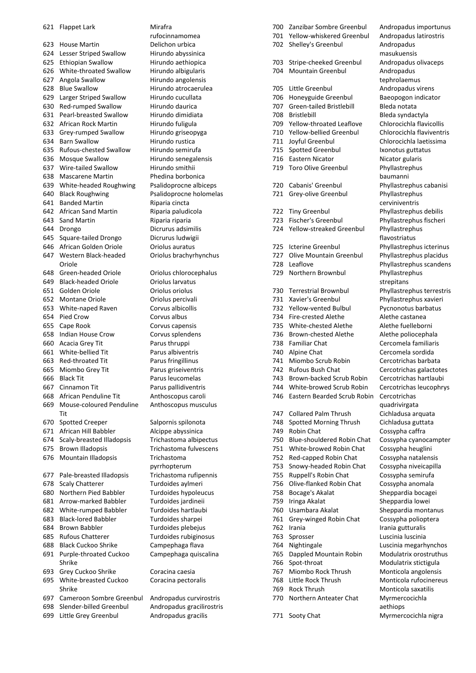Flappet Lark Mirafra House Martin Delichon urbica Lesser Striped Swallow Hirundo abyssinica Ethiopian Swallow Hirundo aethiopica White-throated Swallow Hirundo albigularis Angola Swallow Hirundo angolensis Blue Swallow Hirundo atrocaerulea Larger Striped Swallow Hirundo cucullata Red-rumped Swallow Hirundo daurica Pearl-breasted Swallow Hirundo dimidiata 632 African Rock Martin Hirundo fuligula Grey-rumped Swallow Hirundo griseopyga 634 Barn Swallow Hirundo rustica Rufous-chested Swallow Hirundo semirufa Mosque Swallow Hirundo senegalensis Wire-tailed Swallow Hirundo smithii Mascarene Martin Phedina borbonica White-headed Roughwing Psalidoprocne albiceps 640 Black Roughwing Psalidoprocne holomelas Banded Martin Riparia cincta 642 African Sand Martin Riparia paludicola Sand Martin Riparia riparia Drongo Dicrurus adsimilis Square-tailed Drongo Dicrurus ludwigii African Golden Oriole Oriolus auratus Western Black-headed Oriole Green-headed Oriole Oriolus chlorocephalus Black-headed Oriole Oriolus larvatus Golden Oriole Oriolus oriolus Montane Oriole Oriolus percivali White-naped Raven Corvus albicollis Pied Crow Corvus albus Cape Rook Corvus capensis Indian House Crow Corvus splendens Acacia Grey Tit Parus thruppi White-bellied Tit Parus albiventris 663 Red-throated Tit Parus fringillinus Miombo Grey Tit Parus griseiventris 666 Black Tit Parus leucomelas Cinnamon Tit Parus pallidiventris African Penduline Tit Anthoscopus caroli Mouse-coloured Penduline Tit 670 Spotted Creeper Salpornis spilonota African Hill Babbler Alcippe abyssinica Scaly-breasted Illadopsis Trichastoma albipectus Brown Illadopsis Trichastoma fulvescens 676 Mountain Illadopsis Trichastoma Pale-breasted Illadopsis Trichastoma rufipennis Scaly Chatterer Turdoides aylmeri Northern Pied Babbler Turdoides hypoleucus Arrow-marked Babbler Turdoides jardineii White-rumped Babbler Turdoides hartlaubi Black-lored Babbler Turdoides sharpei Brown Babbler Turdoides plebejus Rufous Chatterer Turdoides rubiginosus Black Cuckoo Shrike Campephaga flava Purple-throated Cuckoo Shrike Grey Cuckoo Shrike Coracina caesia White-breasted Cuckoo Shrike Cameroon Sombre Greenbul Andropadus curvirostris Slender-billed Greenbul Andropadus gracilirostris

Little Grey Greenbul Andropadus gracilis

rufocinnamomea Oriolus brachyrhynchus Anthoscopus musculus pyrrhopterum Campephaga quiscalina Coracina pectoralis

 Zanzibar Sombre Greenbul Andropadus importunus Yellow-whiskered Greenbul Andropadus latirostris Shelley's Greenbul Andropadus Stripe-cheeked Greenbul Andropadus olivaceps Mountain Greenbul Andropadus 705 Little Greenbul Andropadus virens<br>706 Honeyguide Greenbul Baeopogon indicate Honeyguide Greenbul Baeopogon indicator 707 Green-tailed Bristlebill Bleda notata Bristlebill Bleda syndactyla Yellow-throated Leaflove Chlorocichla flavicollis Yellow-bellied Greenbul Chlorocichla flaviventris Joyful Greenbul Chlorocichla laetissima 715 Spotted Greenbul Ixonotus guttatus 716 Eastern Nicator Nicator Nicator gularis 719 Toro Olive Greenbul Phyllastrephus Cabanis' Greenbul Phyllastrephus cabanisi 721 Grey-olive Greenbul Phyllastrephus Tiny Greenbul Phyllastrephus debilis Fischer's Greenbul Phyllastrephus fischeri Yellow-streaked Greenbul Phyllastrephus Icterine Greenbul Phyllastrephus icterinus Olive Mountain Greenbul Phyllastrephus placidus 728 Leaflove **Phyllastrephus scandens** 729 Northern Brownbul Phyllastrephus Terrestrial Brownbul Phyllastrephus terrestris Xavier's Greenbul Phyllastrephus xavieri Yellow-vented Bulbul Pycnonotus barbatus 734 Fire-crested Alethe **Alethe Castanea** 735 White-chested Alethe Alethe fuelleborni 736 Brown-chested Alethe Alethe poliocephala Familiar Chat Cercomela familiaris Alpine Chat Cercomela sordida Miombo Scrub Robin Cercotrichas barbata Rufous Bush Chat Cercotrichas galactotes Brown-backed Scrub Robin Cercotrichas hartlaubi White-browed Scrub Robin Cercotrichas leucophrys Eastern Bearded Scrub Robin Cercotrichas Collared Palm Thrush Cichladusa arquata Spotted Morning Thrush Cichladusa guttata Robin Chat Cossypha caffra Blue-shouldered Robin Chat Cossypha cyanocampter White-browed Robin Chat Cossypha heuglini Red-capped Robin Chat Cossypha natalensis Snowy-headed Robin Chat Cossypha niveicapilla Ruppell's Robin Chat Cossypha semirufa Olive-flanked Robin Chat Cossypha anomala 758 Bocage's Akalat Sheppardia bocagei 759 Iringa Akalat Sheppardia lowei 760 Usambara Akalat Sheppardia montanus Grey-winged Robin Chat Cossypha polioptera 762 Irania **Irania Irania gutturalis**  Sprosser Luscinia luscinia Nightingale Luscinia megarhynchos Dappled Mountain Robin Modulatrix orostruthus 766 Spot-throat Modulatrix stictigula 767 Miombo Rock Thrush Monticola angolensis Little Rock Thrush Monticola rufocinereus 769 Rock Thrush Monticola saxatilis Northern Anteater Chat Myrmercocichla

771 Sooty Chat Myrmercocichla nigra

masukuensis tephrolaemus baumanni cerviniventris flavostriatus strepitans quadrivirgata aethiops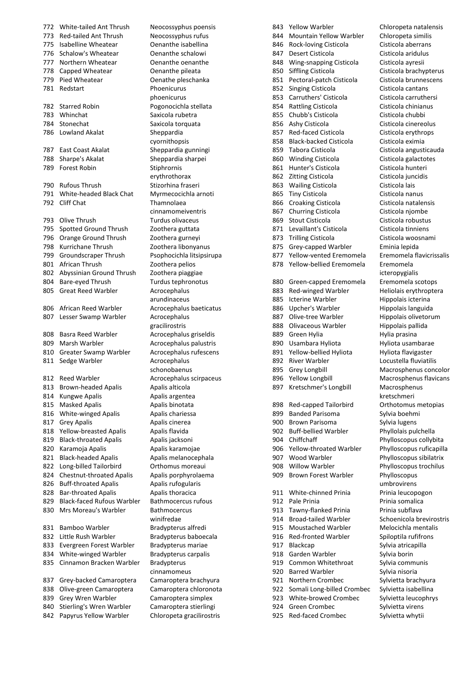773 Red-tailed Ant Thrush Neocossyphus rufus 775 Isabelline Wheatear Oenanthe isabellina 776 Schalow's Wheatear **Oenanthe schalowi** 777 Northern Wheatear **Oenanthe oenanthe** 778 Capped Wheatear **Oenanthe pileata** 779 Pied Wheatear **Oenathe pleschanka** 781 Redstart Phoenicurus 782 Starred Robin Pogonocichla stellata 783 Whinchat Saxicola rubetra 784 Stonechat Saxicola torquata 786 Lowland Akalat Sheppardia 787 East Coast Akalat Sheppardia gunningi 788 Sharpe's Akalat Sheppardia sharpei 789 Forest Robin Stiphrornis 790 Rufous Thrush Stizorhina fraseri 791 White-headed Black Chat Myrmecocichla arnoti 792 Cliff Chat Thamnolaea 793 Olive Thrush Turdus olivaceus 795 Spotted Ground Thrush Zoothera guttata 796 Orange Ground Thrush Zoothera gurneyi 798 Kurrichane Thrush Zoothera libonyanus 799 Groundscraper Thrush Psophocichla litsipsirupa 801 African Thrush Zoothera pelios 802 Abyssinian Ground Thrush Zoothera piaggiae 804 Bare-eyed Thrush Turdus tephronotus 805 Great Reed Warbler **Acrocephalus** 806 African Reed Warbler Acrocephalus baeticatus 807 Lesser Swamp Warbler Acrocephalus 808 Basra Reed Warbler **Acrocephalus griseldis** 809 Marsh Warbler **Acrocephalus palustris** 810 Greater Swamp Warbler Acrocephalus rufescens 811 Sedge Warbler **Acrocephalus** 812 Reed Warbler **Acrocephalus scirpaceus** 813 Brown-headed Apalis Apalis alticola 814 Kungwe Apalis **Apalis Apalis argentea** 815 Masked Apalis **Apalis Apalis binotata** 816 White-winged Apalis Apalis chariessa 817 Grey Apalis **Apalis Cinerea** 818 Yellow-breasted Apalis Apalis flavida 819 Black-throated Apalis Apalis jacksoni 820 Karamoja Apalis **Apalis Karamojae** 821 Black-headed Apalis Apalis melanocephala 822 Long-billed Tailorbird Orthomus moreaui 824 Chestnut-throated Apalis Apalis porphyrolaema 826 Buff-throated Apalis Apalis rufogularis 828 Bar-throated Apalis **Apalis Apalis thoracica** 829 Black-faced Rufous Warbler Bathmocercus rufous 830 Mrs Moreau's Warbler Bathmocercus 831 Bamboo Warbler Bradypterus alfredi 832 Little Rush Warbler Bradypterus baboecala 833 Evergreen Forest Warbler Bradypterus mariae 834 White-winged Warbler Bradypterus carpalis 835 Cinnamon Bracken Warbler Bradypterus 837 Grey-backed Camaroptera Camaroptera brachyura 838 Olive-green Camaroptera Camaroptera chloronota 839 Grey Wren Warbler Camaroptera simplex 840 Stierling's Wren Warbler Camaroptera stierlingi

- 
- 842 Papyrus Yellow Warbler Chloropeta gracilirostris

772 White-tailed Ant Thrush Neocossyphus poensis phoenicurus cyornithopsis erythrothorax cinnamomeiventris arundinaceus gracilirostris schonobaenus winifredae cinnamomeus

843 Yellow Warbler Chloropeta natalensis 844 Mountain Yellow Warbler Chloropeta similis 846 Rock-loving Cisticola Cisticola aberrans 847 Desert Cisticola Cisticola aridulus 848 Wing-snapping Cisticola Cisticola ayresii 850 Siffling Cisticola Cisticola brachypterus 851 Pectoral-patch Cisticola Cisticola brunnescens 852 Singing Cisticola Cisticola cantans 853 Carruthers' Cisticola Cisticola carruthersi 854 Rattling Cisticola Cisticola chinianus 855 Chubb's Cisticola Cisticola chubbi 856 Ashy Cisticola Cisticola cinereolus 857 Red-faced Cisticola Cisticola erythrops 858 Black-backed Cisticola Cisticola eximia 859 Tabora Cisticola Cisticola angusticauda 860 Winding Cisticola Cisticola galactotes 861 Hunter's Cisticola Cisticola hunteri 862 Zitting Cisticola Cisticola juncidis 863 Wailing Cisticola Cisticola lais 865 Tiny Cisticola Cisticola nanus 866 Croaking Cisticola Cisticola natalensis 867 Churring Cisticola Cisticola njombe 869 Stout Cisticola Cisticola robustus 871 Levaillant's Cisticola Cisticola tinniens 873 Trilling Cisticola Cisticola woosnami 875 Grey-capped Warbler Eminia lepida 877 Yellow-vented Eremomela Eremomela flavicrissalis 878 Yellow-bellied Eremomela Eremomela 880 Green-capped Eremomela Eremomela scotops 883 Red-winged Warbler Heliolais erythroptera 885 Icterine Warbler Hippolais icterina 886 Upcher's Warbler Hippolais languida 887 Olive-tree Warbler Hippolais olivetorum 888 Olivaceous Warbler Hippolais pallida 889 Green Hylia **Hylia** Hylia prasina 890 Usambara Hyliota **Hyliota** Hyliota usambarae 891 Yellow-bellied Hyliota Hyliota flavigaster 892 River Warbler Locustella fluviatilis 895 Grey Longbill Macrosphenus concolor 896 Yellow Longbill Macrosphenus flavicans 897 Kretschmer's Longbill Macrosphenus 898 Red-capped Tailorbird Orthotomus metopias 899 Banded Parisoma<br>
Sylvia boehmi 900 Brown Parisoma<br>
Sylvia lugens 902 Buff-bellied Warbler Phyllolais pulchella 904 Chiffchaff Phylloscopus collybita 906 Yellow-throated Warbler Phylloscopus ruficapilla 907 Wood Warbler Phylloscopus sibilatrix 908 Willow Warbler Phylloscopus trochilus 909 Brown Forest Warbler Phylloscopus 911 White-chinned Prinia Prinia leucopogon 912 Pale Prinia **Principaliza** Prinia somalica 913 Tawny-flanked Prinia Prinia subflava 914 Broad-tailed Warbler Schoenicola brevirostris 915 Moustached Warbler Melocichla mentalis 916 Red-fronted Warbler Spiloptila rufifrons 917 Blackcap Sylvia atricapilla 918 Garden Warbler Sylvia borin 919 Common Whitethroat Sylvia communis 920 Barred Warbler Sylvia nisoria 921 Northern Crombec Sylvietta brachyura 922 Somali Long-billed Crombec Sylvietta isabellina 923 White-browed Crombec Sylvietta leucophrys 924 Green Crombec Sylvietta virens

925 Red-faced Crombec Sylvietta whytii

icteropygialis kretschmeri umbrovirens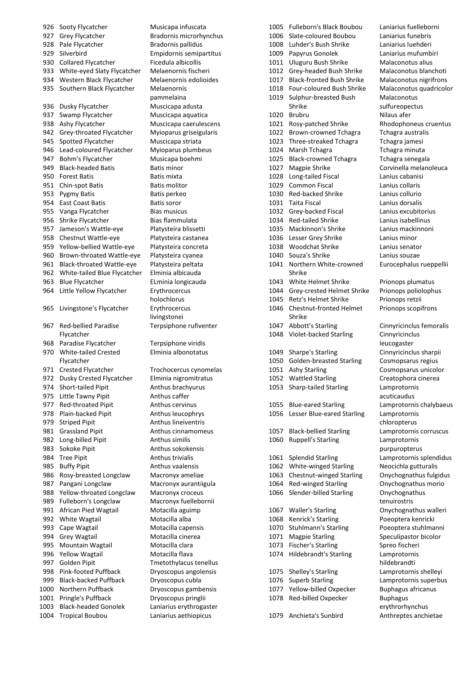926 Sooty Flycatcher Musicapa infuscata 927 Grey Flycatcher Bradornis microrhynchus 928 Pale Flycatcher Bradornis pallidus 929 Silverbird Empidornis semipartitus 930 Collared Flycatcher Ficedula albicollis 933 White-eyed Slaty Flycatcher Melaenornis fischeri 934 Western Black Flycatcher Melaenornis edolioides 935 Southern Black Flycatcher Melaenornis 936 Dusky Flycatcher Muscicapa adusta 937 Swamp Flycatcher Muscicapa aquatica 938 Ashy Flycatcher Muscicapa caerulescens 942 Grey-throated Flycatcher Myioparus griseigularis 945 Spotted Flycatcher Muscicapa striata 946 Lead-coloured Flycatcher Myioparus plumbeus 947 Bohm's Flycatcher Musicapa boehmi 949 Black-headed Batis **Batis minor** 950 Forest Batis **Batis Mixta** 951 Chin-spot Batis **Batis Molitor** 953 Pygmy Batis **Batis perkeo** 954 East Coast Batis **Batis Batis Soror** 955 Vanga Flycatcher Bias musicus 956 Shrike Flycatcher Bias flammulata 957 Jameson's Wattle-eye Platysteira blissetti 958 Chestnut Wattle-eye Platysteira castanea 959 Yellow-bellied Wattle-eye Platysteira concreta 960 Brown-throated Wattle-eye Platysteira cyanea 961 Black-throated Wattle-eye Platysteira peltata 962 White-tailed Blue Flycatcher Elminia albicauda 963 Blue Flycatcher ELminia longicauda 964 Little Yellow Flycatcher Erythrocercus 965 Livingstone's Flycatcher Erythrocercus 967 Red-bellied Paradise Flycatcher 968 Paradise Flycatcher Terpsiphone viridis 970 White-tailed Crested Flycatcher 971 Crested Flycatcher Trochocercus cynomelas 972 Dusky Crested Flycatcher Elminia nigromitratus 974 Short-tailed Pipit Anthus brachyurus 975 Little Tawny Pipit Anthus caffer 977 Red-throated Pipit Anthus cervinus 978 Plain-backed Pipit Anthus leucophrys 979 Striped Pinit Anthus lineiventris 981 Grassland Pipit **Anthus Communished Communished Communished Communished Communished Communished Communished Communished Communished Communished Communished Communished Communism Communism Communism Communism Communism** 982 Long-billed Pipit **Anthus similis** 983 Sokoke Pipit Anthus sokokensis 984 Tree Pipit **Anthus trivialis** 985 Buffy Pipit **Anthus vaalensis** 986 Rosy-breasted Longclaw Macronyx ameliae 987 Pangani Longclaw Macronyx aurantiigula 988 Yellow-throated Longclaw Macronyx croceus 989 Fulleborn's Longclaw Macronyx fuellebornii 991 African Pied Wagtail Motacilla aguimp 992 White Wagtail Motacilla alba 993 Cape Wagtail Motacilla capensis 994 Grey Wagtail Motacilla cinerea 995 Mountain Wagtail Motacilla clara 996 Yellow Wagtail Motacilla flava 997 Golden Pipit Tmetothylacus tenellus 998 Pink-footed Puffback Dryoscopus angolensis 999 Black-backed Puffback Dryoscopus cubla 1000 Northern Puffback Dryoscopus gambensis 1001 Pringle's Puffback Dryoscopus pringlii 1003 Black-headed Gonolek Laniarius erythrogaster 1004 Tropical Boubou Laniarius aethiopicus

pammelaina holochlorus livingstonei Terpsiphone rufiventer Elminia albonotatus

 Fulleborn's Black Boubou Laniarius fuelleborni Slate-coloured Boubou Laniarius funebris Luhder's Bush Shrike Laniarius luehderi Papyrus Gonolek Laniarius mufumbiri 1011 Uluguru Bush Shrike Malaconotus alius Grey-headed Bush Shrike Malaconotus blanchoti Black-fronted Bush Shrike Malaconotus nigrifrons Four-coloured Bush Shrike Malaconotus quadricolor Sulphur-breasted Bush Shrike 1020 Brubru Nilaus afer Rosy-patched Shrike Rhodophoneus cruentus Brown-crowned Tchagra Tchagra australis Three-streaked Tchagra Tchagra jamesi 1024 Marsh Tchagra **Transformation** Tchagra minuta Black-crowned Tchagra Tchagra senegala 1027 Magpie Shrike Corvinella melanoleuca Long-tailed Fiscal Lanius cabanisi Common Fiscal Lanius collaris Red-backed Shrike Lanius collurio Taita Fiscal Lanius dorsalis Grey-backed Fiscal Lanius excubitorius Red-tailed Shrike Lanius isabellinus Mackinnon's Shrike Lanius mackinnoni Lesser Grey Shrike Lanius minor Woodchat Shrike Lanius senator Souza's Shrike Lanius souzae Northern White-crowned Shrike 1043 White Helmet Shrike Prionops plumatus Grey-crested Helmet Shrike Prionops poliolophus 1045 Retz's Helmet Shrike Prionops retzii Chestnut-fronted Helmet Shrike Abbott's Starling Cinnyricinclus femoralis Violet-backed Starling Cinnyricinclus Sharpe's Starling Cinnyricinclus sharpii Golden-breasted Starling Cosmopsarus regius Ashy Starling Cosmopsarus unicolor Wattled Starling Creatophora cinerea Sharp-tailed Starling Lamprotornis Blue-eared Starling Lamprotornis chalybaeus Lesser Blue-eared Starling Lamprotornis Black-bellied Starling Lamprotornis corruscus Ruppell's Starling Lamprotornis Splendid Starling Lamprotornis splendidus 1062 White-winged Starling Neocichla gutturalis Chestnut-winged Starling Onychognathus fulgidus Red-winged Starling Onychognathus morio 1066 Slender-billed Starling Onychognathus Waller's Starling Onychognathus walleri 1068 Kenrick's Starling Poeoptera kenricki 1070 Stuhlmann's Starling Poeoptera stuhlmanni 1071 Magpie Starling Speculipastor bicolor 1073 Fischer's Starling Spreo fischeri Hildebrandt's Starling Lamprotornis Shelley's Starling Lamprotornis shelleyi Superb Starling Lamprotornis superbus 1077 Yellow-billed Oxpecker Buphagus africanus 1078 Red-billed Oxpecker Buphagus 1079 Anchieta's Sunbird Anthreptes anchietae

**Malaconotus** sulfureopectus Eurocephalus rueppellii Prionops scopifrons leucogaster acuticaudus chloropterus purpuropterus tenuirostris hildebrandti erythrorhynchus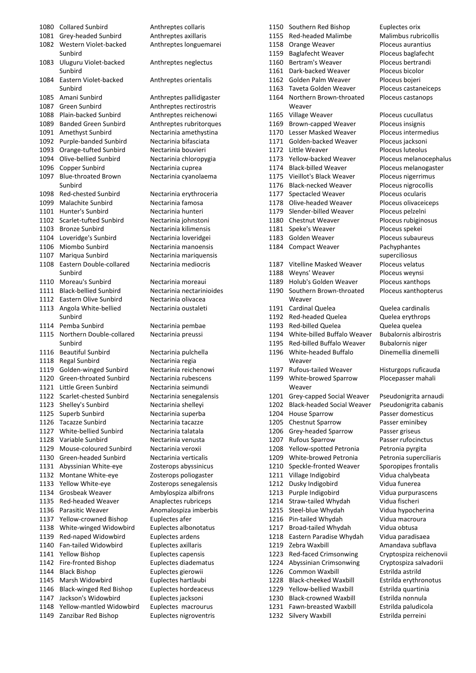| 1080 | <b>Collared Sunbird</b>        | Anthreptes collaris     |
|------|--------------------------------|-------------------------|
| 1081 | Grey-headed Sunbird            | Anthreptes axillaris    |
| 1082 | Western Violet-backed          | Anthreptes longuemar    |
|      | Sunbird                        |                         |
| 1083 | Uluguru Violet-backed          | Anthreptes neglectus    |
|      | Sunbird                        |                         |
| 1084 | Eastern Violet-backed          | Anthreptes orientalis   |
|      | Sunbird                        |                         |
|      | Amani Sunbird                  |                         |
| 1085 |                                | Anthreptes pallidigast  |
| 1087 | <b>Green Sunbird</b>           | Anthreptes rectirostris |
| 1088 | Plain-backed Sunbird           | Anthreptes reichenow    |
| 1089 | <b>Banded Green Sunbird</b>    | Anthreptes rubritorque  |
| 1091 | Amethyst Sunbird               | Nectarinia amethystina  |
| 1092 | Purple-banded Sunbird          | Nectarinia bifasciata   |
| 1093 | Orange-tufted Sunbird          | Nectarinia bouvieri     |
| 1094 | Olive-bellied Sunbird          | Nectarinia chloropygia  |
| 1096 | Copper Sunbird                 | Nectarinia cuprea       |
| 1097 | <b>Blue-throated Brown</b>     | Nectarinia cyanolaema   |
|      | Sunbird                        |                         |
| 1098 | Red-chested Sunbird            | Nectarinia erythroceria |
| 1099 | <b>Malachite Sunbird</b>       | Nectarinia famosa       |
|      |                                |                         |
| 1101 | Hunter's Sunbird               | Nectarinia hunteri      |
| 1102 | Scarlet-tufted Sunbird         | Nectarinia johnstoni    |
| 1103 | <b>Bronze Sunbird</b>          | Nectarinia kilimensis   |
| 1104 | Loveridge's Sunbird            | Nectarinia loveridgei   |
| 1106 | Miombo Sunbird                 | Nectarinia manoensis    |
| 1107 | Mariqua Sunbird                | Nectarinia mariquensis  |
| 1108 | Eastern Double-collared        | Nectarinia mediocris    |
|      | Sunbird                        |                         |
| 1110 | Moreau's Sunbird               | Nectarinia moreaui      |
| 1111 | <b>Black-bellied Sunbird</b>   | Nectarinia nectarinioid |
| 1112 | Eastern Olive Sunbird          | Nectarinia olivacea     |
| 1113 | Angola White-bellied           | Nectarinia oustaleti    |
|      | Sunbird                        |                         |
| 1114 | Pemba Sunbird                  | Nectarinia pembae       |
| 1115 | Northern Double-collared       | Nectarinia preussi      |
|      | Sunbird                        |                         |
|      |                                |                         |
| 1116 | <b>Beautiful Sunbird</b>       | Nectarinia pulchella    |
| 1118 | Regal Sunbird                  | Nectarinia regia        |
| 1119 | Golden-winged Sunbird          | Nectarinia reichenowi   |
| 1120 | Green-throated Sunbird         | Nectarinia rubescens    |
| 1121 | Little Green Sunbird           | Nectarinia seimundi     |
| 1122 | Scarlet-chested Sunbird        | Nectarinia senegalensi  |
| 1123 | Shelley's Sunbird              | Nectarinia shelleyi     |
| 1125 | Superb Sunbird                 | Nectarinia superba      |
| 1126 | <b>Tacazze Sunbird</b>         | Nectarinia tacazze      |
| 1127 | White-bellied Sunbird          | Nectarinia talatala     |
| 1128 | Variable Sunbird               | Nectarinia venusta      |
| 1129 | Mouse-coloured Sunbird         | Nectarinia veroxii      |
| 1130 | Green-headed Sunbird           | Nectarinia verticalis   |
| 1131 | Abyssinian White-eye           | Zosterops abyssinicus   |
| 1132 |                                | Zosterops poliogaster   |
|      | Montane White-eye              |                         |
| 1133 | Yellow White-eye               | Zosterops senegalensis  |
| 1134 | Grosbeak Weaver                | Ambylospiza albifrons   |
| 1135 | Red-headed Weaver              | Anaplectes rubriceps    |
| 1136 | Parasitic Weaver               | Anomalospiza imberbi    |
| 1137 | Yellow-crowned Bishop          | Euplectes afer          |
| 1138 | White-winged Widowbird         | Euplectes albonotatus   |
| 1139 | Red-naped Widowbird            | Euplectes ardens        |
| 1140 | Fan-tailed Widowbird           | Euplectes axillaris     |
| 1141 | <b>Yellow Bishop</b>           | Euplectes capensis      |
| 1142 | Fire-fronted Bishop            | Euplectes diadematus    |
| 1144 | <b>Black Bishop</b>            | Euplectes gierowii      |
| 1145 | Marsh Widowbird                | Euplectes hartlaubi     |
| 1146 | <b>Black-winged Red Bishop</b> | Euplectes hordeaceus    |
| 1147 | Jackson's Widowbird            |                         |
|      | Yellow-mantled Widowbird       | Euplectes jacksoni      |
| 1148 |                                | Euplectes macrourus     |
| 1149 | Zanzibar Red Bishop            | Euplectes nigroventris  |

Anthreptes collaris Anthreptes axillaris Anthreptes longuemarei Anthreptes neglectus Anthreptes orientalis Anthreptes pallidigaster Anthreptes rectirostris Anthreptes reichenowi Anthreptes rubritorques Nectarinia amethystina Nectarinia bifasciata Nectarinia bouvieri Nectarinia chloropygia Nectarinia cuprea Nectarinia cyanolaema Nectarinia erythroceria Nectarinia famosa Nectarinia hunteri Nectarinia iohnstoni Nectarinia kilimensis Nectarinia loveridgei Nectarinia manoensis Nectarinia mariquensis Nectarinia mediocris Nectarinia moreaui Nectarinia nectarinioides Nectarinia olivacea Nectarinia oustaleti Nectarinia pembae Nectarinia preussi Nectarinia pulchella Nectarinia regia Nectarinia reichenowi Nectarinia rubescens Nectarinia seimundi Nectarinia senegalensis Nectarinia shelleyi Nectarinia superba Nectarinia tacazze Nectarinia talatala Nectarinia venusta Nectarinia veroxii Nectarinia verticalis Zosterops abyssinicus Zosterops poliogaster Zosterops senegalensis Ambylospiza albifrons Anaplectes rubriceps Anomalospiza imberbis Euplectes afer Euplectes albonotatus Euplectes ardens Euplectes axillaris Euplectes capensis Euplectes diadematus Euplectes gierowii Euplectes hartlaubi Euplectes hordeaceus Euplectes jacksoni Euplectes macrourus

1150 Southern Red Bishop Euplectes orix 1155 Red-headed Malimbe Malimbus rubricollis 1158 Orange Weaver Ploceus aurantius 1159 Baglafecht Weaver Ploceus baglafecht 1160 Bertram's Weaver Ploceus bertrandi 1161 Dark-backed Weaver Ploceus bicolor 1162 Golden Palm Weaver Ploceus bojeri 1163 Taveta Golden Weaver Ploceus castaneiceps 1164 Northern Brown-throated **Weaver** 1165 Village Weaver Ploceus cucullatus 1169 Brown-capped Weaver Ploceus insignis 1170 Lesser Masked Weaver Ploceus intermedius 1171 Golden-backed Weaver Ploceus jacksoni 1172 Little Weaver **Ploceus** luteolus 1173 Yellow-backed Weaver Ploceus melanocephalus 1174 Black-billed Weaver Ploceus melanogaster 1175 Vieillot's Black Weaver Ploceus nigerrimus 1176 Black-necked Weaver Ploceus nigrocollis 1177 Spectacled Weaver Ploceus ocularis 1178 Olive-headed Weaver Ploceus olivaceiceps 1179 Slender-billed Weaver Ploceus pelzelni 1180 Chestnut Weaver Ploceus rubiginosus 1181 Speke's Weaver Ploceus spekei 1183 Golden Weaver Ploceus subaureus 1184 Compact Weaver Pachyphantes 1187 Vitelline Masked Weaver Ploceus velatus 1188 Weyns' Weaver Ploceus weynsi 1189 Holub's Golden Weaver Ploceus xanthops 1190 Southern Brown-throated Weaver 1191 Cardinal Quelea Quelea cardinalis 1192 Red-headed Quelea Quelea erythrops 1193 Red-billed Quelea Quelea quelea 1194 White-billed Buffalo Weaver Bubalornis albirostris 1195 Red-billed Buffalo Weaver Bubalornis niger 1196 White-headed Buffalo Weaver 1197 Rufous-tailed Weaver Histurgops ruficauda 1199 White-browed Sparrow Weaver 1201 Grey-capped Social Weaver Pseudonigrita arnaudi<br>1202 Black-headed Social Weaver Pseudonigrita cabanis 1202 Black-headed Social Weaver 1204 House Sparrow Passer domesticus 1205 Chestnut Sparrow Passer eminibey 1206 Grey-headed Sparrow Passer griseus 1207 Rufous Sparrow Passer rufocinctus 1208 Yellow-spotted Petronia Petronia pyrgita 1209 White-browed Petronia Petronia superciliaris 1210 Speckle-fronted Weaver Sporopipes frontalis 1211 Village Indigobird Vidua chalybeata 1212 Dusky Indigobird Vidua funerea 1213 Purple Indigobird Vidua purpurascens 1214 Straw-tailed Whydah Vidua fischeri 1215 Steel-blue Whydah Vidua hypocherina 1216 Pin-tailed Whydah Vidua macroura

1217 Broad-tailed Whydah Vidua obtusa Eastern Paradise Whydah Vidua paradisaea 1219 Zebra Waxbill **Amandava subflava**  Red-faced Crimsonwing Cryptospiza reichenovii Abyssinian Crimsonwing Cryptospiza salvadorii Common Waxbill Estrilda astrild Black-cheeked Waxbill Estrilda erythronotus Yellow-bellied Waxbill Estrilda quartinia Black-crowned Waxbill Estrilda nonnula

1231 Fawn-breasted Waxbill Estrilda paludicola

1232 Silvery Waxbill Estrilda perreini

Ploceus castanops

Dinemellia dinemelli

Ploceus xanthopterus

superciliosus

Plocepasser mahali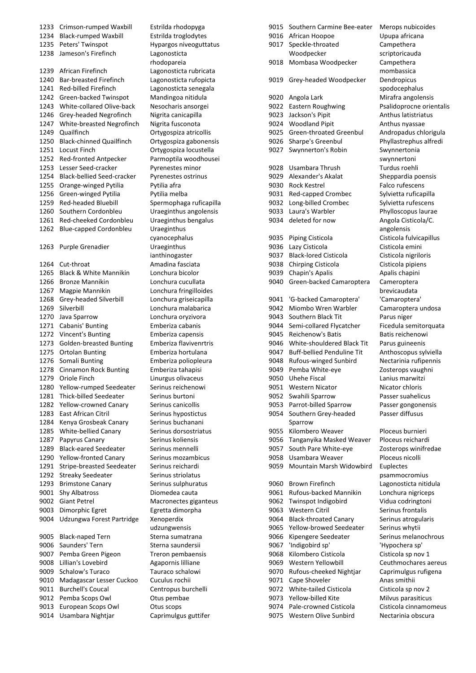Crimson-rumped Waxbill Estrilda rhodopyga Black-rumped Waxbill Estrilda troglodytes Peters' Twinspot Hypargos niveoguttatus Jameson's Firefinch Lagonosticta African Firefinch Lagonosticta rubricata Bar-breasted Firefinch Lagonosticta rufopicta Red-billed Firefinch Lagonosticta senegala Green-backed Twinspot Mandingoa nitidula White-collared Olive-back Nesocharis ansorgei Grey-headed Negrofinch Nigrita canicapilla White-breasted Negrofinch Nigrita fusconota Quailfinch Ortygospiza atricollis Black-chinned Quailfinch Ortygospiza gabonensis Locust Finch Ortygospiza locustella Red-fronted Antpecker Parmoptila woodhousei 1253 Lesser Seed-cracker Pyrenestes minor Black-bellied Seed-cracker Pyrenestes ostrinus 1255 Orange-winged Pytilia Pytilia afra 1256 Green-winged Pytilia Pytilia melba Red-headed Bluebill Spermophaga ruficapilla Southern Cordonbleu Uraeginthus angolensis Red-cheeked Cordonbleu Uraeginthus bengalus Blue-capped Cordonbleu Uraeginthus 1263 Purple Grenadier **Uraeginthus** 1264 Cut-throat Amadina fasciata Black & White Mannikin Lonchura bicolor Bronze Mannikin Lonchura cucullata Magpie Mannikin Lonchura fringilloides Grey-headed Silverbill Lonchura griseicapilla Silverbill Lonchura malabarica Java Sparrow Lonchura oryzivora Cabanis' Bunting Emberiza cabanis 1272 Vincent's Bunting Emberiza capensis Golden-breasted Bunting Emberiza flavivenrtris Ortolan Bunting Emberiza hortulana Somali Bunting Emberiza poliopleura Cinnamon Rock Bunting Emberiza tahapisi 1279 Oriole Finch Linurgus olivaceus 1280 Yellow-rumped Seedeater Serinus reichenowi 1281 Thick-billed Seedeater Serinus burtoni 1282 Yellow-crowned Canary Serinus canicollis 1283 East African Citril Serinus hypostictus 1284 Kenya Grosbeak Canary Serinus buchanani 1285 White-bellied Canary Serinus dorsostriatus 1287 Papyrus Canary Serinus koliensis 1289 Black-eared Seedeater Serinus mennelli 1290 Yellow-fronted Canary Serinus mozambicus 1291 Stripe-breasted Seedeater Serinus reichardi 1292 Streaky Seedeater Serinus striolatus 1293 Brimstone Canary Serinus sulphuratus 9001 Shy Albatross Diomedea cauta 9002 Giant Petrel Macronectes giganteus 9003 Dimorphic Egret Egretta dimorpha Udzungwa Forest Partridge Xenoperdix 9005 Black-naped Tern Sterna sumatrana 9006 Saunders' Tern Sterna saundersii 9007 Pemba Green Pigeon Treron pembaensis 9008 Lillian's Lovebird Agapornis lilliane Schalow's Turaco Tauraco schalowi Madagascar Lesser Cuckoo Cuculus rochii 9011 Burchell's Coucal Centropus burchelli Pemba Scops Owl Otus pembae 9013 European Scops Owl Otus scops

rhodopareia cyanocephalus ianthinogaster udzungwensis Usambara Nightjar Caprimulgus guttifer

| 9015 | Southern Carmine Bee-eater        | Merops nubicoides        |
|------|-----------------------------------|--------------------------|
| 9016 | African Hoopoe                    | Upupa africana           |
| 9017 | Speckle-throated                  | Campethera               |
|      | Woodpecker                        | scriptoricauda           |
| 9018 | Mombasa Woodpecker                | Campethera               |
|      |                                   | mombassica               |
| 9019 | Grey-headed Woodpecker            | Dendropicus              |
|      |                                   | spodocephalus            |
| 9020 | Angola Lark                       | Mirafra angolensis       |
| 9022 |                                   |                          |
|      | Eastern Roughwing                 | Psalidoprocne orientalis |
| 9023 | Jackson's Pipit                   | Anthus latistriatus      |
| 9024 | <b>Woodland Pipit</b>             | Anthus nyassae           |
| 9025 | Green-throated Greenbul           | Andropadus chlorigula    |
| 9026 | Sharpe's Greenbul                 | Phyllastrephus alfredi   |
| 9027 | Swynnerton's Robin                | Swynnertonia             |
|      |                                   | swynnertoni              |
| 9028 | Usambara Thrush                   | Turdus roehli            |
| 9029 | Alexander's Akalat                | Sheppardia poensis       |
| 9030 | <b>Rock Kestrel</b>               | <b>Falco rufescens</b>   |
| 9031 | Red-capped Crombec                | Sylvietta ruficapilla    |
| 9032 | Long-billed Crombec               | Sylvietta rufescens      |
| 9033 | Laura's Warbler                   | Phylloscopus laurae      |
| 9034 | deleted for now                   | Angola Cisticola/C.      |
|      |                                   | angolensis               |
| 9035 | Piping Cisticola                  | Cisticola fulvicapillus  |
| 9036 |                                   |                          |
|      | Lazy Cisticola                    | Cisticola emini          |
| 9037 | <b>Black-lored Cisticola</b>      | Cisticola nigriloris     |
| 9038 | Chirping Cisticola                | Cisticola pipiens        |
| 9039 | Chapin's Apalis                   | Apalis chapini           |
| 9040 | Green-backed Camaroptera          | Cameroptera              |
|      |                                   | brevicaudata             |
| 9041 | 'G-backed Camaroptera'            | 'Camaroptera'            |
| 9042 | Miombo Wren Warbler               | Camaroptera undosa       |
| 9043 | Southern Black Tit                | Parus niger              |
| 9044 | Semi-collared Flycatcher          | Ficedula semitorquata    |
| 9045 | Reichenow's Batis                 | Batis reichenowi         |
| 9046 | White-shouldered Black Tit        | Parus guineenis          |
| 9047 | <b>Buff-bellied Penduline Tit</b> | Anthoscopus sylviella    |
| 9048 | Rufous-winged Sunbird             | Nectarinia rufipennis    |
| 9049 | Pemba White-eye                   | Zosterops vaughni        |
| 9050 | <b>Uhehe Fiscal</b>               | Lanius marwitzi          |
| 9051 | <b>Western Nicator</b>            | Nicator chloris          |
| 9052 | Swahili Sparrow                   | Passer suahelicus        |
|      |                                   |                          |
| 9053 | Parrot-billed Sparrow             | Passer gongonensis       |
| 9054 | Southern Grey-headed              | Passer diffusus          |
|      | Sparrow                           |                          |
| 9055 | Kilombero Weaver                  | Ploceus burnieri         |
| 9056 | Tanganyika Masked Weaver          | Ploceus reichardi        |
| 9057 | South Pare White-eye              | Zosterops winifredae     |
| 9058 | Usambara Weaver                   | Ploceus nicolli          |
| 9059 | Mountain Marsh Widowbird          | Euplectes                |
|      |                                   | psammocromius            |
| 9060 | Brown Firefinch                   | Lagonosticta nitidula    |
| 9061 | Rufous-backed Mannikin            | Lonchura nigriceps       |
| 9062 | Twinspot Indigobird               | Vidua codringtoni        |
| 9063 | <b>Western Citril</b>             | Serinus frontalis        |
| 9064 | <b>Black-throated Canary</b>      | Serinus atrogularis      |
| 9065 | <b>Yellow-browed Seedeater</b>    | Serinus whytii           |
| 9066 |                                   | Serinus melanochrous     |
|      | Kipengere Seedeater               |                          |
| 9067 | 'Indigobird sp'                   | 'Hypochera sp'           |
| 9068 | Kilombero Cisticola               | Cisticola sp nov 1       |
| 9069 | Western Yellowbill                | Ceuthmochares aereus     |
| 9070 | Rufous-cheeked Nightjar           | Caprimulgus rufigena     |
| 9071 | Cape Shoveler                     | Anas smithii             |
| 9072 | White-tailed Cisticola            | Cisticola sp nov 2       |
| 9073 | Yellow-billed Kite                | Milvus parasiticus       |
| 9074 | Pale-crowned Cisticola            | Cisticola cinnamomeus    |
| 9075 | Western Olive Sunbird             | Nectarinia obscura       |